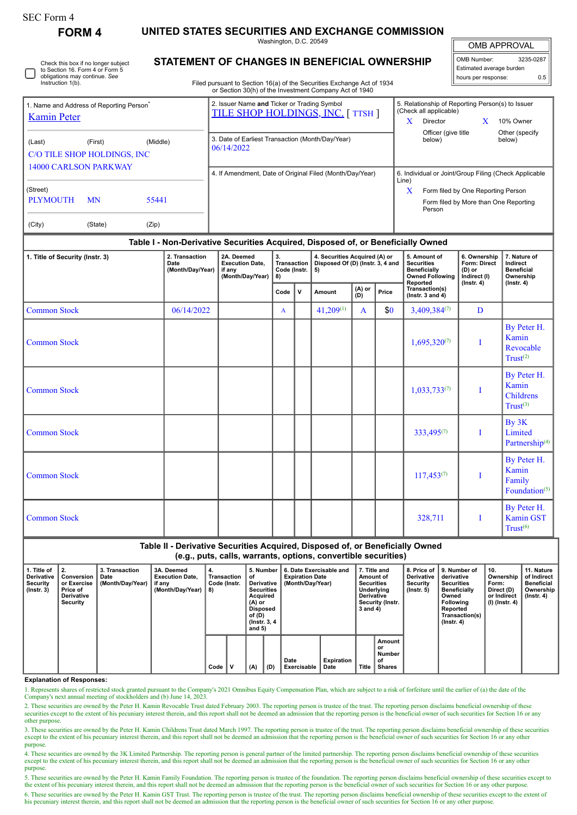| SEC Form 4 |
|------------|
|------------|

**FORM 4 UNITED STATES SECURITIES AND EXCHANGE COMMISSION**

Washington, D.C. 20549

OMB APPROVAL

IF

|                                                                                                         |                                                                                                                                  | UIIID AFFINU VAL                                                                                                                                                            |  |
|---------------------------------------------------------------------------------------------------------|----------------------------------------------------------------------------------------------------------------------------------|-----------------------------------------------------------------------------------------------------------------------------------------------------------------------------|--|
| Check this box if no longer subject<br>to Section 16. Form 4 or Form 5<br>obligations may continue. See | <b>STATEMENT OF CHANGES IN BENEFICIAL OWNERSHIP</b>                                                                              | OMB Number:<br>3235-0287<br>Estimated average burden<br>0.5<br>hours per response:                                                                                          |  |
| Instruction 1(b).                                                                                       | Filed pursuant to Section 16(a) of the Securities Exchange Act of 1934<br>or Section 30(h) of the Investment Company Act of 1940 |                                                                                                                                                                             |  |
| 1. Name and Address of Reporting Person <sup>®</sup><br><b>Kamin Peter</b>                              | 2. Issuer Name and Ticker or Trading Symbol<br><b>TILE SHOP HOLDINGS, INC. [TTSH ]</b>                                           | 5. Relationship of Reporting Person(s) to Issuer<br>(Check all applicable)<br>X<br>X.<br>10% Owner<br>Director<br>Officer (give title<br>Other (specify<br>below)<br>below) |  |
| (Middle)<br>(First)<br>(Last)<br>C/O TILE SHOP HOLDINGS, INC.<br><b>14000 CARLSON PARKWAY</b>           | 3. Date of Earliest Transaction (Month/Day/Year)<br>06/14/2022                                                                   |                                                                                                                                                                             |  |
|                                                                                                         | 4. If Amendment, Date of Original Filed (Month/Day/Year)                                                                         | 6. Individual or Joint/Group Filing (Check Applicable<br>Line)                                                                                                              |  |
| (Street)<br><b>PLYMOUTH</b><br><b>MN</b><br>55441                                                       |                                                                                                                                  | X<br>Form filed by One Reporting Person<br>Form filed by More than One Reporting<br>Person                                                                                  |  |
| (Zip)<br>(City)<br>(State)                                                                              |                                                                                                                                  |                                                                                                                                                                             |  |
| Table I - Non-Derivative Securities Acquired, Disposed of, or Beneficially Owned                        |                                                                                                                                  |                                                                                                                                                                             |  |

## **1. Title of Security (Instr. 3) 2. Transaction Date (Month/Day/Year) 2A. Deemed Execution Date, if any (Month/Day/Year) 3. Transaction Code (Instr. 8) 4. Securities Acquired (A) or Disposed Of (D) (Instr. 3, 4 and 5) 5. Amount of Securities Beneficially Owned Following Reported Transaction(s) (Instr. 3 and 4) 6. Ownership Form: Direct (D) or Indirect (I) (Instr. 4) 7. Nature of Indirect Beneficial Ownership (Instr. 4) Code <sup>V</sup> Amount (A) or (D) Price** Common Stock  $\begin{bmatrix} 06/14/2022 \\ \end{bmatrix}$   $\begin{bmatrix} 1 \\ 4 \end{bmatrix}$   $\begin{bmatrix} 4 \\ 41,209^{(1)} \\ \end{bmatrix}$   $\begin{bmatrix} 1 \\ 4 \end{bmatrix}$   $\begin{bmatrix} 3,409,384^{(7)} \\ \end{bmatrix}$   $\begin{bmatrix} D \\ D \end{bmatrix}$  $\blacksquare$   $\blacksquare$   $\blacksquare$   $\blacksquare$   $\blacksquare$   $\blacksquare$   $\blacksquare$   $\blacksquare$   $\blacksquare$   $\blacksquare$   $\blacksquare$   $\blacksquare$   $\blacksquare$   $\blacksquare$   $\blacksquare$   $\blacksquare$   $\blacksquare$   $\blacksquare$   $\blacksquare$   $\blacksquare$   $\blacksquare$   $\blacksquare$   $\blacksquare$   $\blacksquare$   $\blacksquare$   $\blacksquare$   $\blacksquare$   $\blacksquare$   $\blacksquare$   $\blacksquare$   $\blacksquare$   $\blacks$ By Peter H. Kamin Revocable  $Trust<sup>(2)</sup>$ Common Stock 1,033,733(7) I By Peter H. Kamin Childrens  $Trust<sup>(3)</sup>$ Common Stock 333,495(7) I By 3K Limited Partnership<sup>(4)</sup> Common Stock  $\qquad$  | | | | | | | |  $\qquad$  | 117,453(7) | I By Peter H. Kamin Family Foundation<sup>(5)</sup> Common Stock 1 | | | | | | | 328,711 | I By Peter H. Kamin GST  $Trust<sup>(6)</sup>$

**Table II - Derivative Securities Acquired, Disposed of, or Beneficially Owned (e.g., puts, calls, warrants, options, convertible securities) 1. Title of Derivative Security (Instr. 3) 2. Conversion or Exercise Price of Derivative Security 3. Transaction Date (Month/Day/Year) 3A. Deemed Execution Date, if any (Month/Day/Year) 4. Transaction Code (Instr. 8) 5. Number of Derivative Securities Acquired (A) or Disposed of (D) (Instr. 3, 4 and 5) 6. Date Exercisable and Expiration Date (Month/Day/Year) 7. Title and Amount of Securities Underlying Derivative Security (Instr. 3 and 4) 8. Price of Derivative Security (Instr. 5) 9. Number of derivative Securities Beneficially Owned Following Reported Transaction(s) (Instr. 4) 10. Ownership Form: Direct (D) or Indirect (I) (Instr. 4) 11. Nature of Indirect Beneficial Ownership (Instr. 4) Code V (A) (D) Date Exercisable Expiration Date Title Amount or Number of Shares**

**Explanation of Responses:**

1. Represents shares of restricted stock granted pursuant to the Company's 2021 Omnibus Equity Compensation Plan, which are subject to a risk of forfeiture until the earlier of (a) the date of the Company's next annual meeting of stockholders and (b) June 14, 2023.

2. These securities are owned by the Peter H. Kamin Revocable Trust dated February 2003. The reporting person is trustee of the trust. The reporting person disclaims beneficial ownership of these securities except to the extent of his pecuniary interest therein, and this report shall not be deemed an admission that the reporting person is the beneficial owner of such securities for Section 16 or any other purpose.

3. These securities are owned by the Peter H. Kamin Childrens Trust dated March 1997. The reporting person is trustee of the trust. The reporting person disclaims beneficial ownership of these securities except to the extent of his pecuniary interest therein, and this report shall not be deemed an admission that the reporting person is the beneficial owner of such securities for Section 16 or any other purpose.

4. These securities are owned by the 3K Limited Partnership. The reporting person is general partner of the limited partnership. The reporting person disclaims beneficial ownership of these securities except to the extent of his pecuniary interest therein, and this report shall not be deemed an admission that the reporting person is the beneficial owner of such securities for Section 16 or any other purpose.

5. These securities are owned by the Peter H. Kamin Family Foundation. The reporting person is trustee of the foundation. The reporting person disclaims beneficial ownership of these securities except to the extent of his 6. These securities are owned by the Peter H. Kamin GST Trust. The reporting person is trustee of the trust. The reporting person disclaims beneficial ownership of these securities except to the extent of his pecuniary int